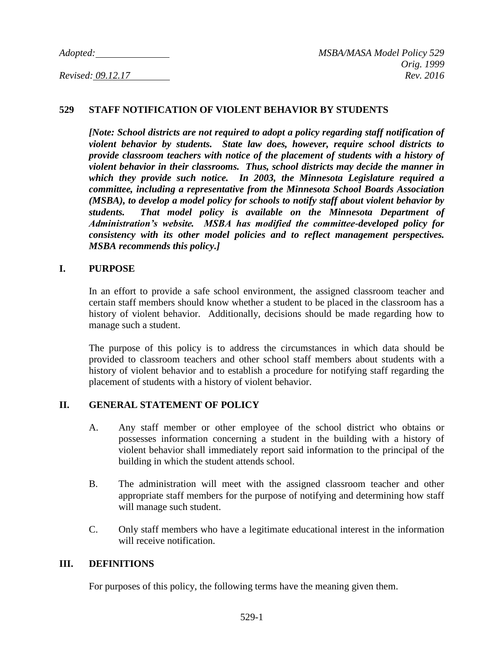### **529 STAFF NOTIFICATION OF VIOLENT BEHAVIOR BY STUDENTS**

*[Note: School districts are not required to adopt a policy regarding staff notification of violent behavior by students. State law does, however, require school districts to provide classroom teachers with notice of the placement of students with a history of violent behavior in their classrooms. Thus, school districts may decide the manner in which they provide such notice. In 2003, the Minnesota Legislature required a committee, including a representative from the Minnesota School Boards Association (MSBA), to develop a model policy for schools to notify staff about violent behavior by students. That model policy is available on the Minnesota Department of Administration's website. MSBA has modified the committee-developed policy for consistency with its other model policies and to reflect management perspectives. MSBA recommends this policy.]*

### **I. PURPOSE**

In an effort to provide a safe school environment, the assigned classroom teacher and certain staff members should know whether a student to be placed in the classroom has a history of violent behavior. Additionally, decisions should be made regarding how to manage such a student.

The purpose of this policy is to address the circumstances in which data should be provided to classroom teachers and other school staff members about students with a history of violent behavior and to establish a procedure for notifying staff regarding the placement of students with a history of violent behavior.

### **II. GENERAL STATEMENT OF POLICY**

- A. Any staff member or other employee of the school district who obtains or possesses information concerning a student in the building with a history of violent behavior shall immediately report said information to the principal of the building in which the student attends school.
- B. The administration will meet with the assigned classroom teacher and other appropriate staff members for the purpose of notifying and determining how staff will manage such student.
- C. Only staff members who have a legitimate educational interest in the information will receive notification.

### **III. DEFINITIONS**

For purposes of this policy, the following terms have the meaning given them.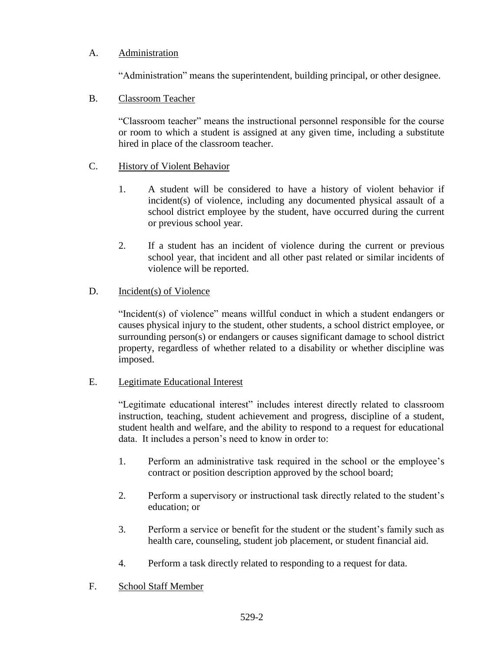# A. Administration

"Administration" means the superintendent, building principal, or other designee.

# B. Classroom Teacher

"Classroom teacher" means the instructional personnel responsible for the course or room to which a student is assigned at any given time, including a substitute hired in place of the classroom teacher.

# C. History of Violent Behavior

- 1. A student will be considered to have a history of violent behavior if incident(s) of violence, including any documented physical assault of a school district employee by the student, have occurred during the current or previous school year.
- 2. If a student has an incident of violence during the current or previous school year, that incident and all other past related or similar incidents of violence will be reported.

# D. Incident(s) of Violence

"Incident(s) of violence" means willful conduct in which a student endangers or causes physical injury to the student, other students, a school district employee, or surrounding person(s) or endangers or causes significant damage to school district property, regardless of whether related to a disability or whether discipline was imposed.

# E. Legitimate Educational Interest

"Legitimate educational interest" includes interest directly related to classroom instruction, teaching, student achievement and progress, discipline of a student, student health and welfare, and the ability to respond to a request for educational data. It includes a person's need to know in order to:

- 1. Perform an administrative task required in the school or the employee's contract or position description approved by the school board;
- 2. Perform a supervisory or instructional task directly related to the student's education; or
- 3. Perform a service or benefit for the student or the student's family such as health care, counseling, student job placement, or student financial aid.
- 4. Perform a task directly related to responding to a request for data.

# F. School Staff Member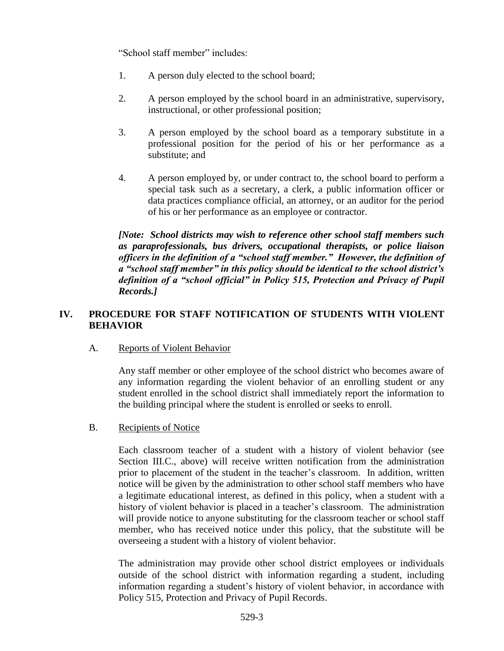"School staff member" includes:

- 1. A person duly elected to the school board;
- 2. A person employed by the school board in an administrative, supervisory, instructional, or other professional position;
- 3. A person employed by the school board as a temporary substitute in a professional position for the period of his or her performance as a substitute; and
- 4. A person employed by, or under contract to, the school board to perform a special task such as a secretary, a clerk, a public information officer or data practices compliance official, an attorney, or an auditor for the period of his or her performance as an employee or contractor.

*[Note: School districts may wish to reference other school staff members such as paraprofessionals, bus drivers, occupational therapists, or police liaison officers in the definition of a "school staff member." However, the definition of a "school staff member" in this policy should be identical to the school district's definition of a "school official" in Policy 515, Protection and Privacy of Pupil Records.]*

### **IV. PROCEDURE FOR STAFF NOTIFICATION OF STUDENTS WITH VIOLENT BEHAVIOR**

### A. Reports of Violent Behavior

Any staff member or other employee of the school district who becomes aware of any information regarding the violent behavior of an enrolling student or any student enrolled in the school district shall immediately report the information to the building principal where the student is enrolled or seeks to enroll.

### B. Recipients of Notice

Each classroom teacher of a student with a history of violent behavior (see Section III.C., above) will receive written notification from the administration prior to placement of the student in the teacher's classroom. In addition, written notice will be given by the administration to other school staff members who have a legitimate educational interest, as defined in this policy, when a student with a history of violent behavior is placed in a teacher's classroom. The administration will provide notice to anyone substituting for the classroom teacher or school staff member, who has received notice under this policy, that the substitute will be overseeing a student with a history of violent behavior.

The administration may provide other school district employees or individuals outside of the school district with information regarding a student, including information regarding a student's history of violent behavior, in accordance with Policy 515, Protection and Privacy of Pupil Records.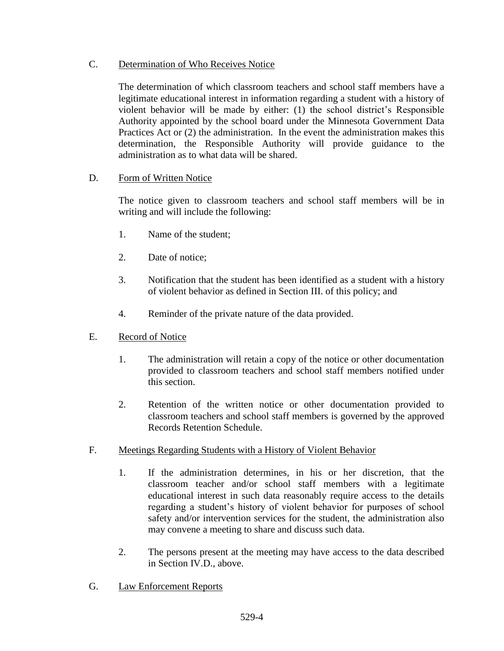# C. Determination of Who Receives Notice

The determination of which classroom teachers and school staff members have a legitimate educational interest in information regarding a student with a history of violent behavior will be made by either: (1) the school district's Responsible Authority appointed by the school board under the Minnesota Government Data Practices Act or (2) the administration. In the event the administration makes this determination, the Responsible Authority will provide guidance to the administration as to what data will be shared.

# D. Form of Written Notice

The notice given to classroom teachers and school staff members will be in writing and will include the following:

- 1. Name of the student;
- 2. Date of notice;
- 3. Notification that the student has been identified as a student with a history of violent behavior as defined in Section III. of this policy; and
- 4. Reminder of the private nature of the data provided.

# E. Record of Notice

- 1. The administration will retain a copy of the notice or other documentation provided to classroom teachers and school staff members notified under this section.
- 2. Retention of the written notice or other documentation provided to classroom teachers and school staff members is governed by the approved Records Retention Schedule.
- F. Meetings Regarding Students with a History of Violent Behavior
	- 1. If the administration determines, in his or her discretion, that the classroom teacher and/or school staff members with a legitimate educational interest in such data reasonably require access to the details regarding a student's history of violent behavior for purposes of school safety and/or intervention services for the student, the administration also may convene a meeting to share and discuss such data.
	- 2. The persons present at the meeting may have access to the data described in Section IV.D., above.
- G. Law Enforcement Reports